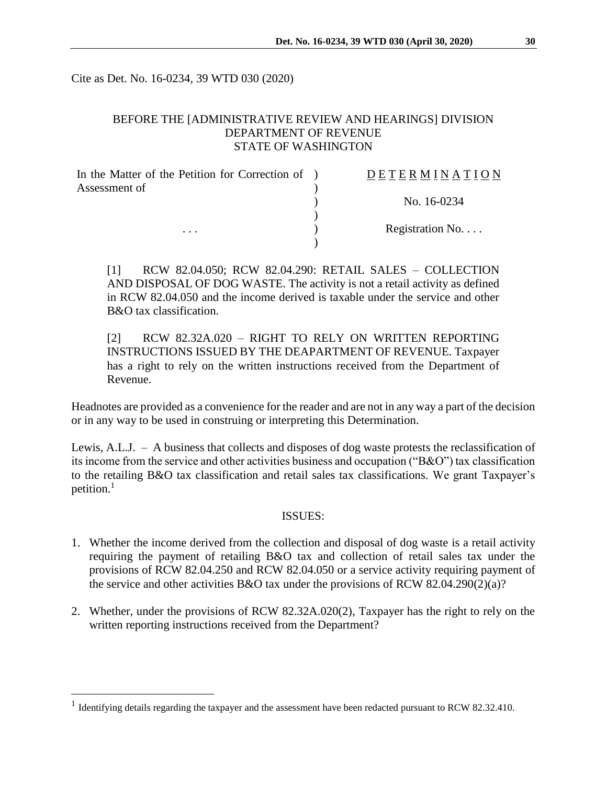Cite as Det. No. 16-0234, 39 WTD 030 (2020)

# BEFORE THE [ADMINISTRATIVE REVIEW AND HEARINGS] DIVISION DEPARTMENT OF REVENUE STATE OF WASHINGTON

| In the Matter of the Petition for Correction of ) | DETERMINATION   |
|---------------------------------------------------|-----------------|
| Assessment of                                     |                 |
|                                                   | No. 16-0234     |
|                                                   |                 |
| $\cdots$                                          | Registration No |
|                                                   |                 |

[1] RCW 82.04.050; RCW 82.04.290: RETAIL SALES – COLLECTION AND DISPOSAL OF DOG WASTE. The activity is not a retail activity as defined in RCW 82.04.050 and the income derived is taxable under the service and other B&O tax classification.

[2] RCW 82.32A.020 – RIGHT TO RELY ON WRITTEN REPORTING INSTRUCTIONS ISSUED BY THE DEAPARTMENT OF REVENUE. Taxpayer has a right to rely on the written instructions received from the Department of Revenue.

Headnotes are provided as a convenience for the reader and are not in any way a part of the decision or in any way to be used in construing or interpreting this Determination.

Lewis, A.L.J. – A business that collects and disposes of dog waste protests the reclassification of its income from the service and other activities business and occupation ("B&O") tax classification to the retailing B&O tax classification and retail sales tax classifications. We grant Taxpayer's petition.<sup>1</sup>

## ISSUES:

- 1. Whether the income derived from the collection and disposal of dog waste is a retail activity requiring the payment of retailing B&O tax and collection of retail sales tax under the provisions of RCW 82.04.250 and RCW 82.04.050 or a service activity requiring payment of the service and other activities B&O tax under the provisions of RCW 82.04.290(2)(a)?
- 2. Whether, under the provisions of RCW 82.32A.020(2), Taxpayer has the right to rely on the written reporting instructions received from the Department?

 $\overline{a}$ 

<sup>&</sup>lt;sup>1</sup> Identifying details regarding the taxpayer and the assessment have been redacted pursuant to RCW 82.32.410.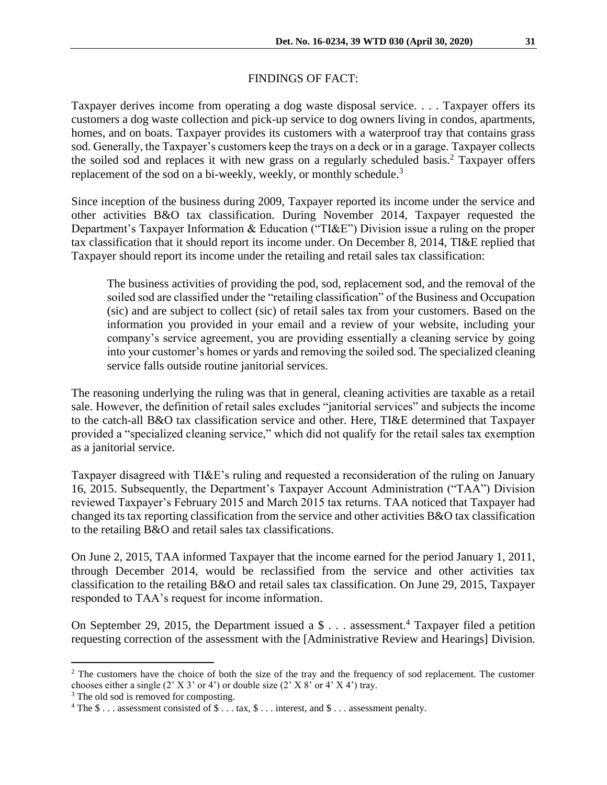# FINDINGS OF FACT:

Taxpayer derives income from operating a dog waste disposal service. . . . Taxpayer offers its customers a dog waste collection and pick-up service to dog owners living in condos, apartments, homes, and on boats. Taxpayer provides its customers with a waterproof tray that contains grass sod. Generally, the Taxpayer's customers keep the trays on a deck or in a garage. Taxpayer collects the soiled sod and replaces it with new grass on a regularly scheduled basis.<sup>2</sup> Taxpayer offers replacement of the sod on a bi-weekly, weekly, or monthly schedule.<sup>3</sup>

Since inception of the business during 2009, Taxpayer reported its income under the service and other activities B&O tax classification. During November 2014, Taxpayer requested the Department's Taxpayer Information & Education ("TI&E") Division issue a ruling on the proper tax classification that it should report its income under. On December 8, 2014, TI&E replied that Taxpayer should report its income under the retailing and retail sales tax classification:

The business activities of providing the pod, sod, replacement sod, and the removal of the soiled sod are classified under the "retailing classification" of the Business and Occupation (sic) and are subject to collect (sic) of retail sales tax from your customers. Based on the information you provided in your email and a review of your website, including your company's service agreement, you are providing essentially a cleaning service by going into your customer's homes or yards and removing the soiled sod. The specialized cleaning service falls outside routine janitorial services.

The reasoning underlying the ruling was that in general, cleaning activities are taxable as a retail sale. However, the definition of retail sales excludes "janitorial services" and subjects the income to the catch-all B&O tax classification service and other. Here, TI&E determined that Taxpayer provided a "specialized cleaning service," which did not qualify for the retail sales tax exemption as a janitorial service.

Taxpayer disagreed with TI&E's ruling and requested a reconsideration of the ruling on January 16, 2015. Subsequently, the Department's Taxpayer Account Administration ("TAA") Division reviewed Taxpayer's February 2015 and March 2015 tax returns. TAA noticed that Taxpayer had changed its tax reporting classification from the service and other activities B&O tax classification to the retailing B&O and retail sales tax classifications.

On June 2, 2015, TAA informed Taxpayer that the income earned for the period January 1, 2011, through December 2014, would be reclassified from the service and other activities tax classification to the retailing B&O and retail sales tax classification. On June 29, 2015, Taxpayer responded to TAA's request for income information.

On September 29, 2015, the Department issued a  $\text{\$} \dots$  assessment.<sup>4</sup> Taxpayer filed a petition requesting correction of the assessment with the [Administrative Review and Hearings] Division.

 $\overline{a}$ 

<sup>&</sup>lt;sup>2</sup> The customers have the choice of both the size of the tray and the frequency of sod replacement. The customer chooses either a single  $(2' X 3' or 4')$  or double size  $(2' X 8' or 4' X 4')$  tray.

<sup>&</sup>lt;sup>3</sup> The old sod is removed for composting.

<sup>&</sup>lt;sup>4</sup> The \$ . . . assessment consisted of \$ . . . tax, \$ . . . interest, and \$ . . . assessment penalty.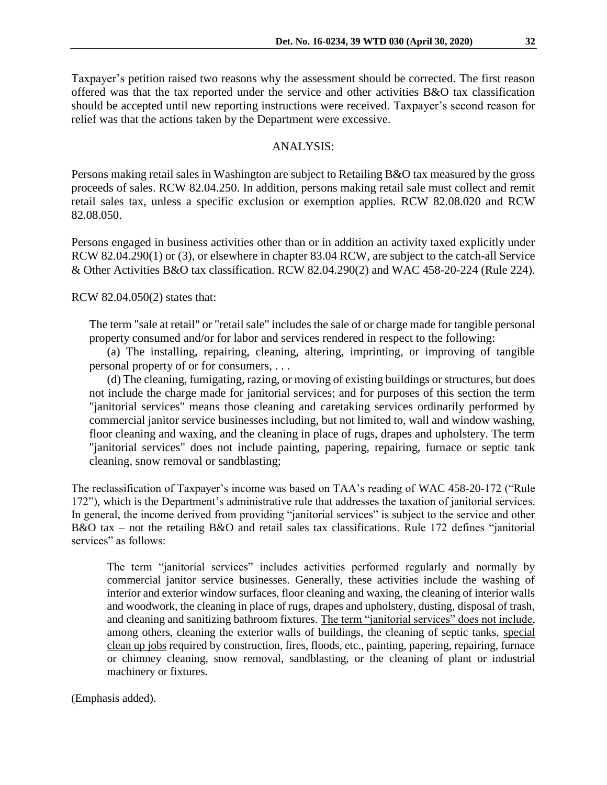Taxpayer's petition raised two reasons why the assessment should be corrected. The first reason offered was that the tax reported under the service and other activities B&O tax classification should be accepted until new reporting instructions were received. Taxpayer's second reason for relief was that the actions taken by the Department were excessive.

#### ANALYSIS:

Persons making retail sales in Washington are subject to Retailing B&O tax measured by the gross proceeds of sales. RCW 82.04.250. In addition, persons making retail sale must collect and remit retail sales tax, unless a specific exclusion or exemption applies. RCW 82.08.020 and RCW 82.08.050.

Persons engaged in business activities other than or in addition an activity taxed explicitly under RCW 82.04.290(1) or (3), or elsewhere in chapter 83.04 RCW, are subject to the catch-all Service & Other Activities B&O tax classification. RCW 82.04.290(2) and WAC 458-20-224 (Rule 224).

RCW 82.04.050(2) states that:

The term "sale at retail" or "retail sale" includes the sale of or charge made for tangible personal property consumed and/or for labor and services rendered in respect to the following:

(a) The installing, repairing, cleaning, altering, imprinting, or improving of tangible personal property of or for consumers, . . .

(d) The cleaning, fumigating, razing, or moving of existing buildings or structures, but does not include the charge made for janitorial services; and for purposes of this section the term "janitorial services" means those cleaning and caretaking services ordinarily performed by commercial janitor service businesses including, but not limited to, wall and window washing, floor cleaning and waxing, and the cleaning in place of rugs, drapes and upholstery. The term "janitorial services" does not include painting, papering, repairing, furnace or septic tank cleaning, snow removal or sandblasting;

The reclassification of Taxpayer's income was based on TAA's reading of WAC 458-20-172 ("Rule 172"), which is the Department's administrative rule that addresses the taxation of janitorial services. In general, the income derived from providing "janitorial services" is subject to the service and other B&O tax – not the retailing B&O and retail sales tax classifications. Rule 172 defines "janitorial services" as follows:

The term "janitorial services" includes activities performed regularly and normally by commercial janitor service businesses. Generally, these activities include the washing of interior and exterior window surfaces, floor cleaning and waxing, the cleaning of interior walls and woodwork, the cleaning in place of rugs, drapes and upholstery, dusting, disposal of trash, and cleaning and sanitizing bathroom fixtures. The term "janitorial services" does not include, among others, cleaning the exterior walls of buildings, the cleaning of septic tanks, special clean up jobs required by construction, fires, floods, etc., painting, papering, repairing, furnace or chimney cleaning, snow removal, sandblasting, or the cleaning of plant or industrial machinery or fixtures.

(Emphasis added).